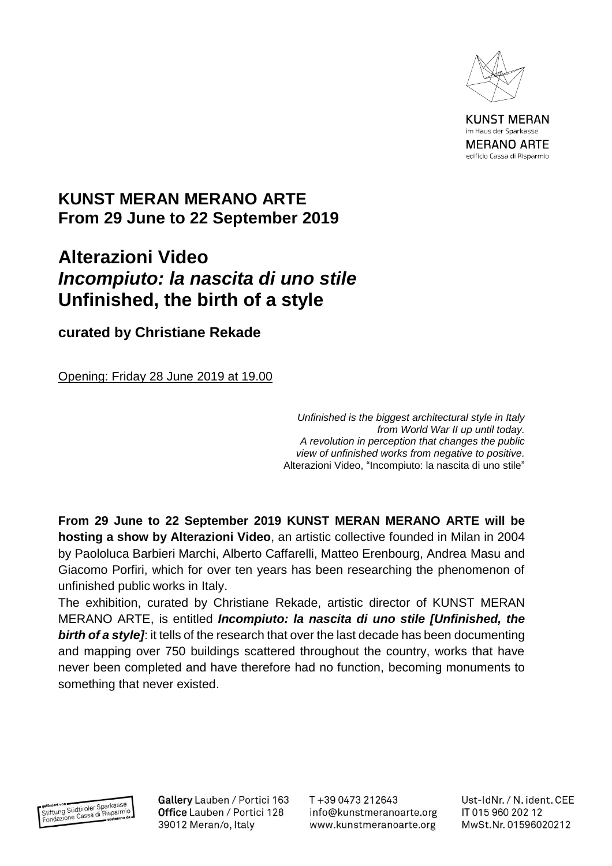

**KUNST MERAN** im Haus der Sparkasse **MERANO ARTE** edificio Cassa di Risparmio

## **KUNST MERAN MERANO ARTE From 29 June to 22 September 2019**

## **Alterazioni Video** *Incompiuto: la nascita di uno stile* **Unfinished, the birth of a style**

**curated by Christiane Rekade**

Opening: Friday 28 June 2019 at 19.00

*Unfinished is the biggest architectural style in Italy from World War II up until today. A revolution in perception that changes the public view of unfinished works from negative to positive.* Alterazioni Video, "Incompiuto: la nascita di uno stile"

**From 29 June to 22 September 2019 KUNST MERAN MERANO ARTE will be hosting a show by Alterazioni Video**, an artistic collective founded in Milan in 2004 by Paololuca Barbieri Marchi, Alberto Caffarelli, Matteo Erenbourg, Andrea Masu and Giacomo Porfiri, which for over ten years has been researching the phenomenon of unfinished public works in Italy.

The exhibition, curated by Christiane Rekade, artistic director of KUNST MERAN MERANO ARTE, is entitled *Incompiuto: la nascita di uno stile [Unfinished, the*  **birth of a style]**: it tells of the research that over the last decade has been documenting and mapping over 750 buildings scattered throughout the country, works that have never been completed and have therefore had no function, becoming monuments to something that never existed.

gefördert von Wildtiroler Sparkasse<br>Stiftung Südtiroler Sparkasse<br>Fondazione Cassa di Risparmio

Gallery Lauben / Portici 163 Office Lauben / Portici 128 39012 Meran/o, Italy

T+39 0473 212643 info@kunstmeranoarte.org www.kunstmeranoarte.org Ust-IdNr. / N. ident. CEE IT 015 960 202 12 MwSt.Nr. 01596020212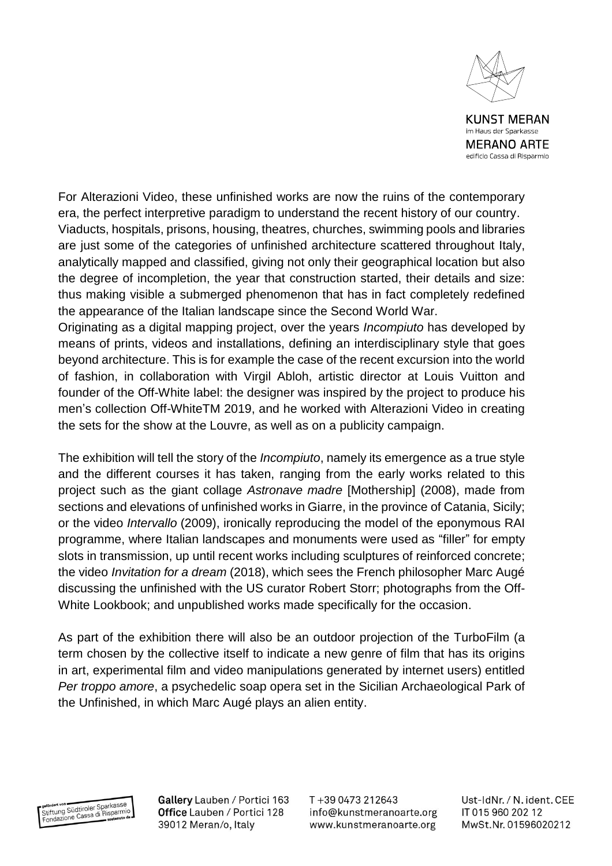

**KUNST MERAN** im Haus der Sparkasse **MERANO ARTE** edificio Cassa di Risparmio

For Alterazioni Video, these unfinished works are now the ruins of the contemporary era, the perfect interpretive paradigm to understand the recent history of our country. Viaducts, hospitals, prisons, housing, theatres, churches, swimming pools and libraries are just some of the categories of unfinished architecture scattered throughout Italy, analytically mapped and classified, giving not only their geographical location but also the degree of incompletion, the year that construction started, their details and size: thus making visible a submerged phenomenon that has in fact completely redefined the appearance of the Italian landscape since the Second World War.

Originating as a digital mapping project, over the years *Incompiuto* has developed by means of prints, videos and installations, defining an interdisciplinary style that goes beyond architecture. This is for example the case of the recent excursion into the world of fashion, in collaboration with Virgil Abloh, artistic director at Louis Vuitton and founder of the Off-White label: the designer was inspired by the project to produce his men's collection Off-WhiteTM 2019, and he worked with Alterazioni Video in creating the sets for the show at the Louvre, as well as on a publicity campaign.

The exhibition will tell the story of the *Incompiuto*, namely its emergence as a true style and the different courses it has taken, ranging from the early works related to this project such as the giant collage *Astronave madre* [Mothership] (2008), made from sections and elevations of unfinished works in Giarre, in the province of Catania, Sicily; or the video *Intervallo* (2009), ironically reproducing the model of the eponymous RAI programme, where Italian landscapes and monuments were used as "filler" for empty slots in transmission, up until recent works including sculptures of reinforced concrete; the video *Invitation for a dream* (2018), which sees the French philosopher Marc Augé discussing the unfinished with the US curator Robert Storr; photographs from the Off-White Lookbook; and unpublished works made specifically for the occasion.

As part of the exhibition there will also be an outdoor projection of the TurboFilm (a term chosen by the collective itself to indicate a new genre of film that has its origins in art, experimental film and video manipulations generated by internet users) entitled *Per troppo amore*, a psychedelic soap opera set in the Sicilian Archaeological Park of the Unfinished, in which Marc Augé plays an alien entity.



Gallery Lauben / Portici 163 Office Lauben / Portici 128 39012 Meran/o, Italy

T+39 0473 212643 info@kunstmeranoarte.org www.kunstmeranoarte.org

Ust-IdNr. / N. ident. CEE IT 015 960 202 12 MwSt.Nr. 01596020212